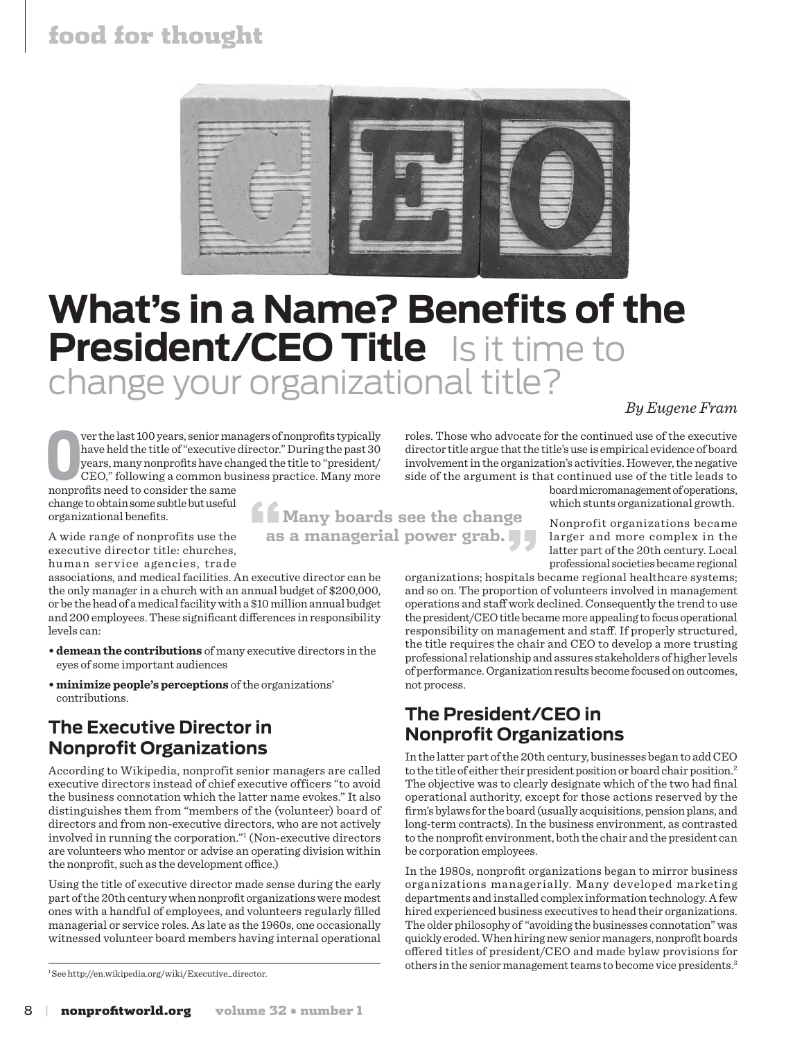## food for thought



# **What's in a Name? Benefits of the President/CEO Title** Is it time to change your organizational title?

#### *By Eugene Fram*

**O o**have held the title of "executive years, many nonprofits have chicle OF CEO," following a common businonprofits need to consider the same ver the last 100 years, senior managers of nonprofits typically have held the title of "executive director." During the past 30 years, many nonprofits have changed the title to "president/ CEO," following a common business practice. Many more

change to obtain some subtle but useful organizational benefits.

**"Many boards see the change as a managerial power grab."**

A wide range of nonprofits use the executive director title: churches, human service agencies, trade

associations, and medical facilities. An executive director can be the only manager in a church with an annual budget of \$200,000, or be the head of a medical facility with a \$10 million annual budget and 200 employees. These significant differences in responsibility levels can:

- **• demean the contributions** of many executive directors in the eyes of some important audiences
- **• minimize people's perceptions** of the organizations' contributions.

### **The Executive Director in Nonprofit Organizations**

According to Wikipedia, nonprofit senior managers are called executive directors instead of chief executive officers "to avoid the business connotation which the latter name evokes." It also distinguishes them from "members of the (volunteer) board of directors and from non-executive directors, who are not actively involved in running the corporation."1 (Non-executive directors are volunteers who mentor or advise an operating division within the nonprofit, such as the development office.)

Using the title of executive director made sense during the early part of the 20th century when nonprofit organizations were modest ones with a handful of employees, and volunteers regularly filled managerial or service roles. As late as the 1960s, one occasionally witnessed volunteer board members having internal operational

1 See http://en.wikipedia.org/wiki/Executive\_director.

roles. Those who advocate for the continued use of the executive director title argue that the title's use is empirical evidence of board involvement in the organization's activities. However, the negative side of the argument is that continued use of the title leads to

board micromanagement of operations, which stunts organizational growth.

Nonprofit organizations became larger and more complex in the latter part of the 20th century. Local professional societies became regional

organizations; hospitals became regional healthcare systems; and so on. The proportion of volunteers involved in management operations and staff work declined. Consequently the trend to use the president/CEO title became more appealing to focus operational responsibility on management and staff. If properly structured, the title requires the chair and CEO to develop a more trusting professional relationship and assures stakeholders of higher levels of performance. Organization results become focused on outcomes, not process.

## **The President/CEO in Nonprofit Organizations**

In the latter part of the 20th century, businesses began to add CEO to the title of either their president position or board chair position.<sup>2</sup> The objective was to clearly designate which of the two had final operational authority, except for those actions reserved by the firm's bylaws for the board (usually acquisitions, pension plans, and long-term contracts). In the business environment, as contrasted to the nonprofit environment, both the chair and the president can be corporation employees.

In the 1980s, nonprofit organizations began to mirror business organizations managerially. Many developed marketing departments and installed complex information technology. A few hired experienced business executives to head their organizations. The older philosophy of "avoiding the businesses connotation" was quickly eroded. When hiring new senior managers, nonprofit boards offered titles of president/CEO and made bylaw provisions for others in the senior management teams to become vice presidents.3